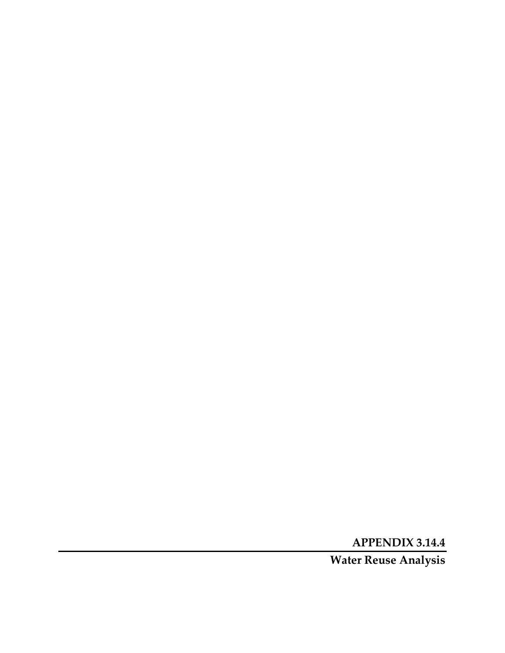**APPENDIX 3.14.4** 

**Water Reuse Analysis**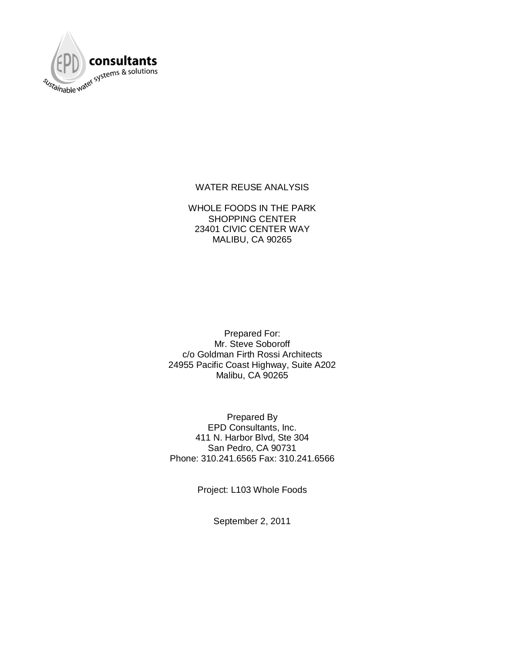

#### WATER REUSE ANALYSIS

WHOLE FOODS IN THE PARK SHOPPING CENTER 23401 CIVIC CENTER WAY MALIBU, CA 90265

Prepared For: Mr. Steve Soboroff c/o Goldman Firth Rossi Architects 24955 Pacific Coast Highway, Suite A202 Malibu, CA 90265

Prepared By EPD Consultants, Inc. 411 N. Harbor Blvd, Ste 304 San Pedro, CA 90731 Phone: 310.241.6565 Fax: 310.241.6566

Project: L103 Whole Foods

September 2, 2011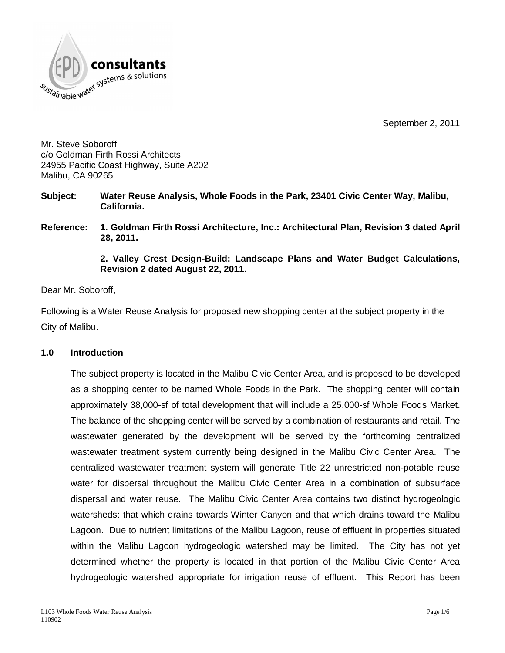



Mr. Steve Soboroff c/o Goldman Firth Rossi Architects 24955 Pacific Coast Highway, Suite A202 Malibu, CA 90265

- **Subject: Water Reuse Analysis, Whole Foods in the Park, 23401 Civic Center Way, Malibu, California.**
- **Reference: 1. Goldman Firth Rossi Architecture, Inc.: Architectural Plan, Revision 3 dated April 28, 2011.**

**2. Valley Crest Design-Build: Landscape Plans and Water Budget Calculations, Revision 2 dated August 22, 2011.**

Dear Mr. Soboroff,

Following is a Water Reuse Analysis for proposed new shopping center at the subject property in the City of Malibu.

#### **1.0 Introduction**

The subject property is located in the Malibu Civic Center Area, and is proposed to be developed as a shopping center to be named Whole Foods in the Park. The shopping center will contain approximately 38,000-sf of total development that will include a 25,000-sf Whole Foods Market. The balance of the shopping center will be served by a combination of restaurants and retail. The wastewater generated by the development will be served by the forthcoming centralized wastewater treatment system currently being designed in the Malibu Civic Center Area. The centralized wastewater treatment system will generate Title 22 unrestricted non-potable reuse water for dispersal throughout the Malibu Civic Center Area in a combination of subsurface dispersal and water reuse. The Malibu Civic Center Area contains two distinct hydrogeologic watersheds: that which drains towards Winter Canyon and that which drains toward the Malibu Lagoon. Due to nutrient limitations of the Malibu Lagoon, reuse of effluent in properties situated within the Malibu Lagoon hydrogeologic watershed may be limited. The City has not yet determined whether the property is located in that portion of the Malibu Civic Center Area hydrogeologic watershed appropriate for irrigation reuse of effluent. This Report has been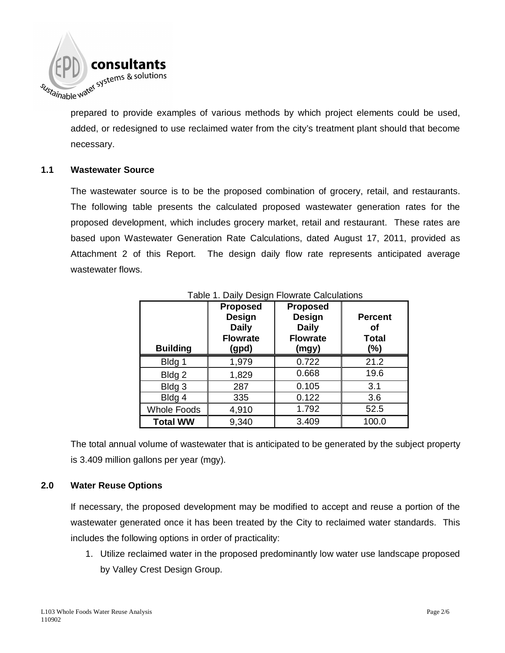

prepared to provide examples of various methods by which project elements could be used, added, or redesigned to use reclaimed water from the city's treatment plant should that become necessary.

#### **1.1 Wastewater Source**

The wastewater source is to be the proposed combination of grocery, retail, and restaurants. The following table presents the calculated proposed wastewater generation rates for the proposed development, which includes grocery market, retail and restaurant. These rates are based upon Wastewater Generation Rate Calculations, dated August 17, 2011, provided as Attachment 2 of this Report. The design daily flow rate represents anticipated average wastewater flows.

| <b>Building</b>    | <b>Proposed</b><br>Design<br><b>Daily</b><br><b>Flowrate</b><br>(gpd) | <b>Proposed</b><br>Design<br><b>Daily</b><br><b>Flowrate</b><br>(mgy) | <b>Percent</b><br>Οf<br><b>Total</b><br>$(\%)$ |
|--------------------|-----------------------------------------------------------------------|-----------------------------------------------------------------------|------------------------------------------------|
| Bldg 1             | 1,979                                                                 | 0.722                                                                 | 21.2                                           |
| Bldg <sub>2</sub>  | 1,829                                                                 | 0.668                                                                 | 19.6                                           |
| Bldg 3             | 287                                                                   | 0.105                                                                 | 3.1                                            |
| Bldg 4             | 335                                                                   | 0.122                                                                 | 3.6                                            |
| <b>Whole Foods</b> | 4,910                                                                 | 1.792                                                                 | 52.5                                           |
| <b>Total WW</b>    | 9,340                                                                 | 3.409                                                                 | 100.0                                          |

#### Table 1. Daily Design Flowrate Calculations

The total annual volume of wastewater that is anticipated to be generated by the subject property is 3.409 million gallons per year (mgy).

#### **2.0 Water Reuse Options**

If necessary, the proposed development may be modified to accept and reuse a portion of the wastewater generated once it has been treated by the City to reclaimed water standards. This includes the following options in order of practicality:

1. Utilize reclaimed water in the proposed predominantly low water use landscape proposed by Valley Crest Design Group.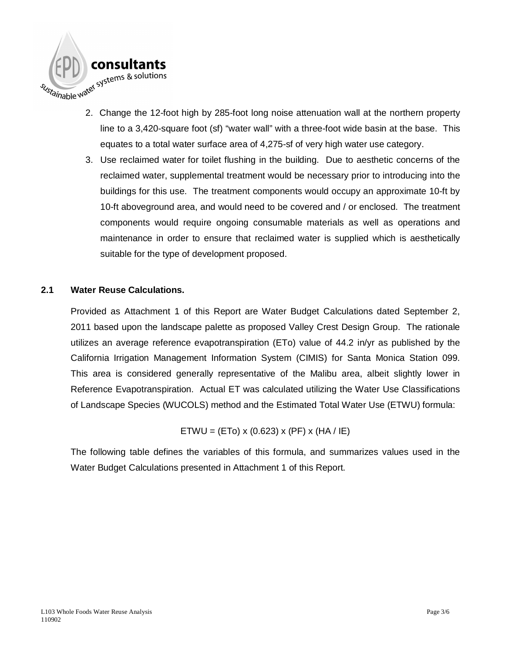

- 2. Change the 12-foot high by 285-foot long noise attenuation wall at the northern property line to a 3,420-square foot (sf) "water wall" with a three-foot wide basin at the base. This equates to a total water surface area of 4,275-sf of very high water use category.
- 3. Use reclaimed water for toilet flushing in the building. Due to aesthetic concerns of the reclaimed water, supplemental treatment would be necessary prior to introducing into the buildings for this use. The treatment components would occupy an approximate 10-ft by 10-ft aboveground area, and would need to be covered and / or enclosed. The treatment components would require ongoing consumable materials as well as operations and maintenance in order to ensure that reclaimed water is supplied which is aesthetically suitable for the type of development proposed.

#### **2.1 Water Reuse Calculations.**

Provided as Attachment 1 of this Report are Water Budget Calculations dated September 2, 2011 based upon the landscape palette as proposed Valley Crest Design Group. The rationale utilizes an average reference evapotranspiration (ETo) value of 44.2 in/yr as published by the California Irrigation Management Information System (CIMIS) for Santa Monica Station 099. This area is considered generally representative of the Malibu area, albeit slightly lower in Reference Evapotranspiration. Actual ET was calculated utilizing the Water Use Classifications of Landscape Species (WUCOLS) method and the Estimated Total Water Use (ETWU) formula:

ETWU = (ETo) x (0.623) x (PF) x (HA / IE)

The following table defines the variables of this formula, and summarizes values used in the Water Budget Calculations presented in Attachment 1 of this Report.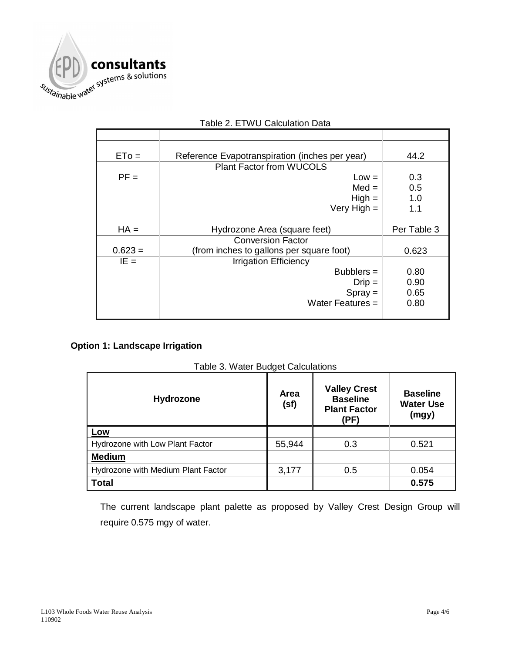

| $ETo =$   | Reference Evapotranspiration (inches per year) | 44.2        |
|-----------|------------------------------------------------|-------------|
|           | <b>Plant Factor from WUCOLS</b>                |             |
| $PF =$    | $Low =$                                        | 0.3         |
|           | $Med =$                                        | 0.5         |
|           | $High =$                                       | 1.0         |
|           | Very High $=$                                  | 1.1         |
|           |                                                |             |
|           |                                                |             |
| $HA =$    | Hydrozone Area (square feet)                   | Per Table 3 |
|           | <b>Conversion Factor</b>                       |             |
| $0.623 =$ | (from inches to gallons per square foot)       | 0.623       |
| $IE =$    | <b>Irrigation Efficiency</b>                   |             |
|           | $Bubblers =$                                   | 0.80        |
|           | $Dirip =$                                      | 0.90        |
|           |                                                | 0.65        |
|           | $Spray =$<br>Water Features $=$                | 0.80        |

#### Table 2. ETWU Calculation Data

#### **Option 1: Landscape Irrigation**

| Table 3. Water Budget Calculations |
|------------------------------------|
|------------------------------------|

| Hydrozone                          | Area<br>(sf) | <b>Valley Crest</b><br><b>Baseline</b><br><b>Plant Factor</b><br>(PF) | <b>Baseline</b><br><b>Water Use</b><br>(mgy) |
|------------------------------------|--------------|-----------------------------------------------------------------------|----------------------------------------------|
| <u>Low</u>                         |              |                                                                       |                                              |
| Hydrozone with Low Plant Factor    | 55,944       | 0.3                                                                   | 0.521                                        |
| <b>Medium</b>                      |              |                                                                       |                                              |
| Hydrozone with Medium Plant Factor | 3,177        | 0.5                                                                   | 0.054                                        |
| <b>Total</b>                       |              |                                                                       | 0.575                                        |

The current landscape plant palette as proposed by Valley Crest Design Group will require 0.575 mgy of water.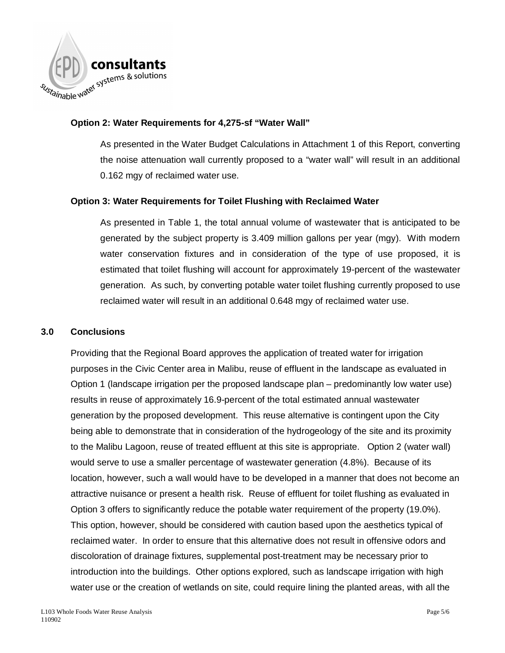

#### **Option 2: Water Requirements for 4,275-sf "Water Wall"**

As presented in the Water Budget Calculations in Attachment 1 of this Report, converting the noise attenuation wall currently proposed to a "water wall" will result in an additional 0.162 mgy of reclaimed water use.

#### **Option 3: Water Requirements for Toilet Flushing with Reclaimed Water**

As presented in Table 1, the total annual volume of wastewater that is anticipated to be generated by the subject property is 3.409 million gallons per year (mgy). With modern water conservation fixtures and in consideration of the type of use proposed, it is estimated that toilet flushing will account for approximately 19-percent of the wastewater generation. As such, by converting potable water toilet flushing currently proposed to use reclaimed water will result in an additional 0.648 mgy of reclaimed water use.

#### **3.0 Conclusions**

Providing that the Regional Board approves the application of treated water for irrigation purposes in the Civic Center area in Malibu, reuse of effluent in the landscape as evaluated in Option 1 (landscape irrigation per the proposed landscape plan – predominantly low water use) results in reuse of approximately 16.9-percent of the total estimated annual wastewater generation by the proposed development. This reuse alternative is contingent upon the City being able to demonstrate that in consideration of the hydrogeology of the site and its proximity to the Malibu Lagoon, reuse of treated effluent at this site is appropriate. Option 2 (water wall) would serve to use a smaller percentage of wastewater generation (4.8%). Because of its location, however, such a wall would have to be developed in a manner that does not become an attractive nuisance or present a health risk. Reuse of effluent for toilet flushing as evaluated in Option 3 offers to significantly reduce the potable water requirement of the property (19.0%). This option, however, should be considered with caution based upon the aesthetics typical of reclaimed water. In order to ensure that this alternative does not result in offensive odors and discoloration of drainage fixtures, supplemental post-treatment may be necessary prior to introduction into the buildings. Other options explored, such as landscape irrigation with high water use or the creation of wetlands on site, could require lining the planted areas, with all the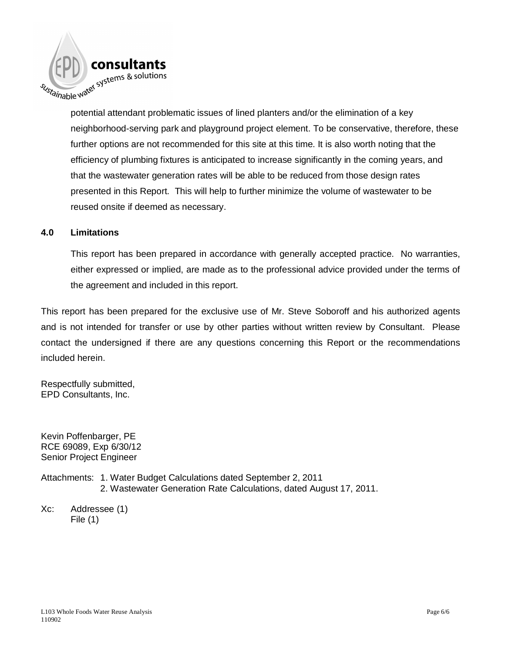

potential attendant problematic issues of lined planters and/or the elimination of a key neighborhood-serving park and playground project element. To be conservative, therefore, these further options are not recommended for this site at this time. It is also worth noting that the efficiency of plumbing fixtures is anticipated to increase significantly in the coming years, and that the wastewater generation rates will be able to be reduced from those design rates presented in this Report. This will help to further minimize the volume of wastewater to be reused onsite if deemed as necessary.

#### **4.0 Limitations**

This report has been prepared in accordance with generally accepted practice. No warranties, either expressed or implied, are made as to the professional advice provided under the terms of the agreement and included in this report.

This report has been prepared for the exclusive use of Mr. Steve Soboroff and his authorized agents and is not intended for transfer or use by other parties without written review by Consultant. Please contact the undersigned if there are any questions concerning this Report or the recommendations included herein.

Respectfully submitted, EPD Consultants, Inc.

Kevin Poffenbarger, PE RCE 69089, Exp 6/30/12 Senior Project Engineer

Attachments: 1. Water Budget Calculations dated September 2, 2011 2. Wastewater Generation Rate Calculations, dated August 17, 2011.

Xc: Addressee (1) File (1)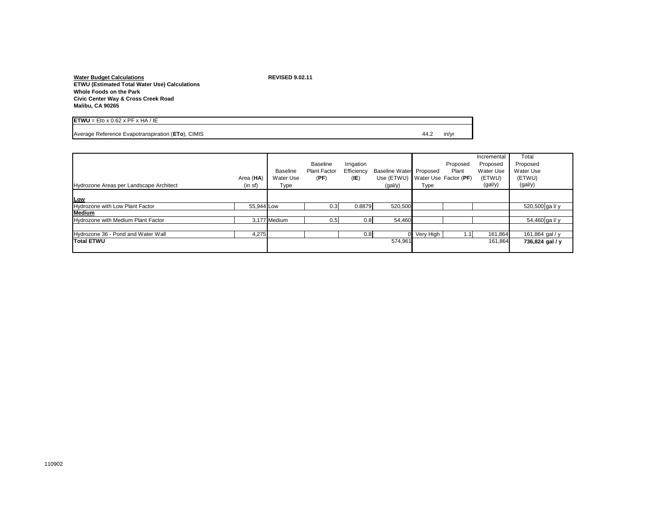**Water Budget Calculations REVISED 9.02.11 ETWU (Estimated Total Water Use) Calculations Whole Foods on the Park Civic Center Way & Cross Creek Road Malibu, CA 90265**

| x 0.62 x PF x HA<br>ΊE<br><b>IFTWI'</b><br>Eto               |      |       |
|--------------------------------------------------------------|------|-------|
| <b>CIMIS</b><br>:To).<br>Evapotransp<br>anancatr<br>วเration | 44.z | in/yr |

| Hydrozone Areas per Landscape Architect | Area (HA)<br>(in st) | <b>Baseline</b><br>Water Use<br>Type | Baseline<br><b>Plant Factor</b><br>(PF) | Irrigation<br>Efficiency<br>(IE) | Baseline Water Proposed<br>Use (ETWU) Water Use Factor (PF)<br>(gal/y) | Type      | Proposed<br>Plant | Incremental<br>Proposed<br>Water Use<br>(ETWU)<br>(gal/y) | Total<br>Proposed<br>Water Use<br>(ETWU)<br>(gal/y) |
|-----------------------------------------|----------------------|--------------------------------------|-----------------------------------------|----------------------------------|------------------------------------------------------------------------|-----------|-------------------|-----------------------------------------------------------|-----------------------------------------------------|
| Low                                     |                      |                                      |                                         |                                  |                                                                        |           |                   |                                                           |                                                     |
| Hydrozone with Low Plant Factor         | 55,944 Low           |                                      | 0.3                                     | 0.8879                           | 520,500                                                                |           |                   |                                                           | 520,500 ga I/y                                      |
| Medium                                  |                      |                                      |                                         |                                  |                                                                        |           |                   |                                                           |                                                     |
| Hydrozone with Medium Plant Factor      |                      | 3,177 Medium                         | 0.5                                     | 0.8                              | 54,460                                                                 |           |                   |                                                           | 54,460 ga l/y                                       |
|                                         |                      |                                      |                                         |                                  |                                                                        |           |                   |                                                           |                                                     |
| Hydrozone 36 - Pond and Water Wall      | 4,275                |                                      |                                         | 0.8                              | ΩL                                                                     | Very High |                   | 161,864                                                   | 161,864 gal / y                                     |
| <b>Total ETWU</b>                       |                      |                                      |                                         |                                  | 574,961                                                                |           |                   | 161,864                                                   | 736,824 gal / y                                     |
|                                         |                      |                                      |                                         |                                  |                                                                        |           |                   |                                                           |                                                     |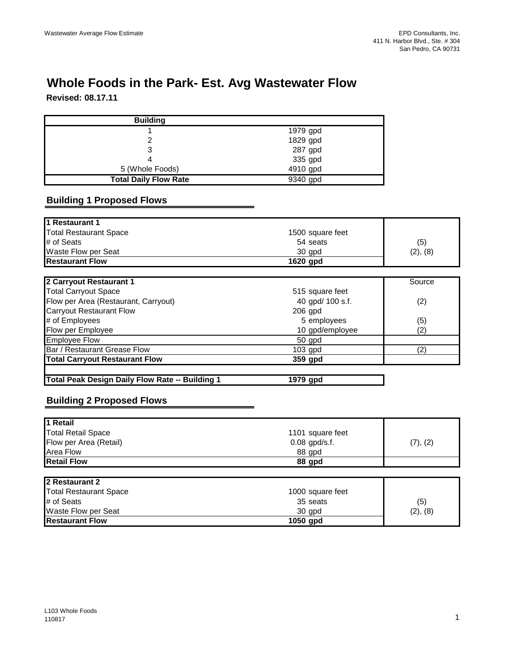# **Whole Foods in the Park- Est. Avg Wastewater Flow**

**Revised: 08.17.11**

| <b>Building</b>              |          |  |
|------------------------------|----------|--|
|                              | 1979 gpd |  |
|                              | 1829 gpd |  |
| ົ                            | 287 gpd  |  |
|                              | 335 gpd  |  |
| 5 (Whole Foods)              | 4910 gpd |  |
| <b>Total Daily Flow Rate</b> | 9340 gpd |  |

### **Building 1 Proposed Flows**

| 1 Restaurant 1                       |                  |          |
|--------------------------------------|------------------|----------|
| <b>Total Restaurant Space</b>        | 1500 square feet |          |
| # of Seats                           | 54 seats         | (5)      |
| Waste Flow per Seat                  | 30 gpd           | (2), (8) |
| <b>Restaurant Flow</b>               | 1620 gpd         |          |
|                                      |                  |          |
| 2 Carryout Restaurant 1              |                  | Source   |
| <b>Total Carryout Space</b>          | 515 square feet  |          |
| Flow per Area (Restaurant, Carryout) | 40 gpd/ 100 s.f. | (2)      |
| Carryout Restaurant Flow             | 206 $and$        |          |

| <b>Carryout Restaurant Flow</b>       | $206$ gpd       |     |
|---------------------------------------|-----------------|-----|
| # of Employees                        | 5 employees     | (5) |
| Flow per Employee                     | 10 gpd/employee | (2  |
| <b>Employee Flow</b>                  | 50 gpd          |     |
| Bar / Restaurant Grease Flow          | $103$ gpd       |     |
| <b>Total Carryout Restaurant Flow</b> | 359 gpd         |     |
|                                       |                 |     |

| Total Peak Design Daily Flow Rate -- Building 1<br>1979 gpd |  |
|-------------------------------------------------------------|--|
|-------------------------------------------------------------|--|

## **Building 2 Proposed Flows**

| 1 Retail                      |                  |          |
|-------------------------------|------------------|----------|
| <b>Total Retail Space</b>     | 1101 square feet |          |
| Flow per Area (Retail)        | 0.08 gpd/s.f.    | (7), (2) |
| Area Flow                     | 88 gpd           |          |
| <b>Retail Flow</b>            | 88 gpd           |          |
|                               |                  |          |
| 2 Restaurant 2                |                  |          |
| <b>Total Restaurant Space</b> | 1000 square feet |          |
| # of Seats                    | 35 seats         | (5)      |
| Waste Flow per Seat           | 30 gpd           | (2), (8) |
| <b>Restaurant Flow</b>        | 1050 gpd         |          |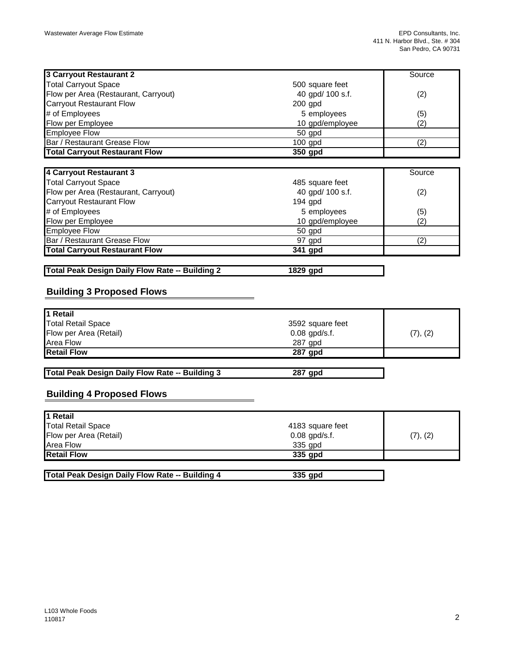| 3 Carryout Restaurant 2               |                  | Source |
|---------------------------------------|------------------|--------|
| <b>Total Carryout Space</b>           | 500 square feet  |        |
| Flow per Area (Restaurant, Carryout)  | 40 gpd/ 100 s.f. | (2)    |
| <b>Carryout Restaurant Flow</b>       | $200$ gpd        |        |
| # of Employees                        | 5 employees      | (5)    |
| Flow per Employee                     | 10 gpd/employee  | (2)    |
| <b>Employee Flow</b>                  | 50 gpd           |        |
| <b>Bar / Restaurant Grease Flow</b>   | $100$ apd        | (2     |
| <b>Total Carryout Restaurant Flow</b> | 350 gpd          |        |

| 4 Carryout Restaurant 3               |                  | Source            |
|---------------------------------------|------------------|-------------------|
| <b>Total Carryout Space</b>           | 485 square feet  |                   |
| Flow per Area (Restaurant, Carryout)  | 40 gpd/ 100 s.f. | (2)               |
| <b>Carryout Restaurant Flow</b>       | $194$ gpd        |                   |
| # of Employees                        | 5 employees      | (5)               |
| Flow per Employee                     | 10 gpd/employee  | $\left( 2\right)$ |
| <b>Employee Flow</b>                  | $50$ gpd         |                   |
| <b>Bar / Restaurant Grease Flow</b>   | 97 gpd           | (2)               |
| <b>Total Carryout Restaurant Flow</b> | 341 gpd          |                   |

**Total Peak Design Daily Flow Rate -- Building 2 1829 gpd**

#### **Building 3 Proposed Flows**

| 1 Retail                  |                  |          |
|---------------------------|------------------|----------|
| <b>Total Retail Space</b> | 3592 square feet |          |
| Flow per Area (Retail)    | $0.08$ gpd/s.f.  | (7), (2) |
| Area Flow                 | 287 gpd          |          |
| <b>Retail Flow</b>        | 287 gpd          |          |

**Total Peak Design Daily Flow Rate -- Building 3 287 gpd**

#### **Building 4 Proposed Flows**

| 1 Retail                                               |                  |          |
|--------------------------------------------------------|------------------|----------|
| <b>Total Retail Space</b>                              | 4183 square feet |          |
| Flow per Area (Retail)                                 | $0.08$ gpd/s.f.  | (7), (2) |
| <b>Area Flow</b>                                       | 335 gpd          |          |
| <b>Retail Flow</b>                                     | 335 qpd          |          |
|                                                        |                  |          |
| <b>Total Peak Design Daily Flow Rate -- Building 4</b> | 335 gpd          |          |

| Total Peak Design Daily Flow Rate -- Building 4 | 335 gpd |
|-------------------------------------------------|---------|
|                                                 |         |